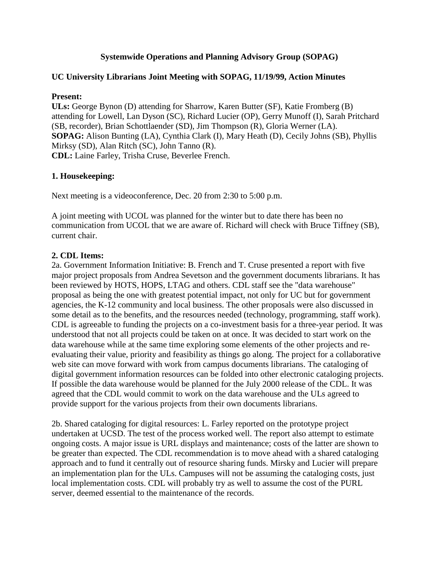## **Systemwide Operations and Planning Advisory Group (SOPAG)**

## **UC University Librarians Joint Meeting with SOPAG, 11/19/99, Action Minutes**

### **Present:**

**ULs:** George Bynon (D) attending for Sharrow, Karen Butter (SF), Katie Fromberg (B) attending for Lowell, Lan Dyson (SC), Richard Lucier (OP), Gerry Munoff (I), Sarah Pritchard (SB, recorder), Brian Schottlaender (SD), Jim Thompson (R), Gloria Werner (LA). **SOPAG:** Alison Bunting (LA), Cynthia Clark (I), Mary Heath (D), Cecily Johns (SB), Phyllis Mirksy (SD), Alan Ritch (SC), John Tanno (R). **CDL:** Laine Farley, Trisha Cruse, Beverlee French.

## **1. Housekeeping:**

Next meeting is a videoconference, Dec. 20 from 2:30 to 5:00 p.m.

A joint meeting with UCOL was planned for the winter but to date there has been no communication from UCOL that we are aware of. Richard will check with Bruce Tiffney (SB), current chair.

## **2. CDL Items:**

2a. Government Information Initiative: B. French and T. Cruse presented a report with five major project proposals from Andrea Sevetson and the government documents librarians. It has been reviewed by HOTS, HOPS, LTAG and others. CDL staff see the "data warehouse" proposal as being the one with greatest potential impact, not only for UC but for government agencies, the K-12 community and local business. The other proposals were also discussed in some detail as to the benefits, and the resources needed (technology, programming, staff work). CDL is agreeable to funding the projects on a co-investment basis for a three-year period. It was understood that not all projects could be taken on at once. It was decided to start work on the data warehouse while at the same time exploring some elements of the other projects and reevaluating their value, priority and feasibility as things go along. The project for a collaborative web site can move forward with work from campus documents librarians. The cataloging of digital government information resources can be folded into other electronic cataloging projects. If possible the data warehouse would be planned for the July 2000 release of the CDL. It was agreed that the CDL would commit to work on the data warehouse and the ULs agreed to provide support for the various projects from their own documents librarians.

2b. Shared cataloging for digital resources: L. Farley reported on the prototype project undertaken at UCSD. The test of the process worked well. The report also attempt to estimate ongoing costs. A major issue is URL displays and maintenance; costs of the latter are shown to be greater than expected. The CDL recommendation is to move ahead with a shared cataloging approach and to fund it centrally out of resource sharing funds. Mirsky and Lucier will prepare an implementation plan for the ULs. Campuses will not be assuming the cataloging costs, just local implementation costs. CDL will probably try as well to assume the cost of the PURL server, deemed essential to the maintenance of the records.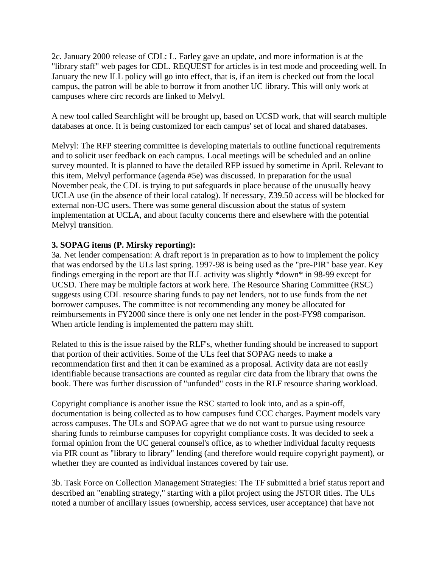2c. January 2000 release of CDL: L. Farley gave an update, and more information is at the "library staff" web pages for CDL. REQUEST for articles is in test mode and proceeding well. In January the new ILL policy will go into effect, that is, if an item is checked out from the local campus, the patron will be able to borrow it from another UC library. This will only work at campuses where circ records are linked to Melvyl.

A new tool called Searchlight will be brought up, based on UCSD work, that will search multiple databases at once. It is being customized for each campus' set of local and shared databases.

Melvyl: The RFP steering committee is developing materials to outline functional requirements and to solicit user feedback on each campus. Local meetings will be scheduled and an online survey mounted. It is planned to have the detailed RFP issued by sometime in April. Relevant to this item, Melvyl performance (agenda #5e) was discussed. In preparation for the usual November peak, the CDL is trying to put safeguards in place because of the unusually heavy UCLA use (in the absence of their local catalog). If necessary, Z39.50 access will be blocked for external non-UC users. There was some general discussion about the status of system implementation at UCLA, and about faculty concerns there and elsewhere with the potential Melvyl transition.

# **3. SOPAG items (P. Mirsky reporting):**

3a. Net lender compensation: A draft report is in preparation as to how to implement the policy that was endorsed by the ULs last spring. 1997-98 is being used as the "pre-PIR" base year. Key findings emerging in the report are that ILL activity was slightly \*down\* in 98-99 except for UCSD. There may be multiple factors at work here. The Resource Sharing Committee (RSC) suggests using CDL resource sharing funds to pay net lenders, not to use funds from the net borrower campuses. The committee is not recommending any money be allocated for reimbursements in FY2000 since there is only one net lender in the post-FY98 comparison. When article lending is implemented the pattern may shift.

Related to this is the issue raised by the RLF's, whether funding should be increased to support that portion of their activities. Some of the ULs feel that SOPAG needs to make a recommendation first and then it can be examined as a proposal. Activity data are not easily identifiable because transactions are counted as regular circ data from the library that owns the book. There was further discussion of "unfunded" costs in the RLF resource sharing workload.

Copyright compliance is another issue the RSC started to look into, and as a spin-off, documentation is being collected as to how campuses fund CCC charges. Payment models vary across campuses. The ULs and SOPAG agree that we do not want to pursue using resource sharing funds to reimburse campuses for copyright compliance costs. It was decided to seek a formal opinion from the UC general counsel's office, as to whether individual faculty requests via PIR count as "library to library" lending (and therefore would require copyright payment), or whether they are counted as individual instances covered by fair use.

3b. Task Force on Collection Management Strategies: The TF submitted a brief status report and described an "enabling strategy," starting with a pilot project using the JSTOR titles. The ULs noted a number of ancillary issues (ownership, access services, user acceptance) that have not